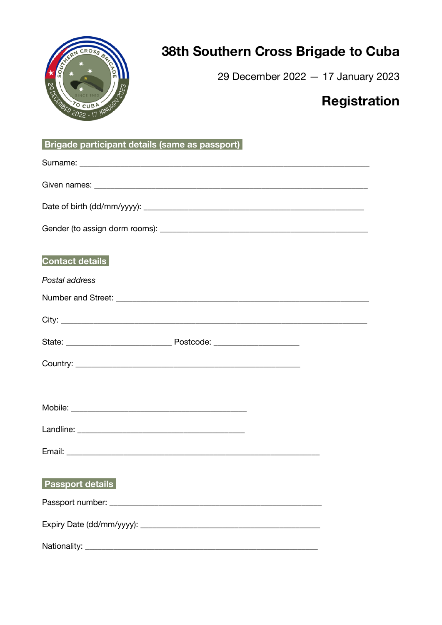

## 38th Southern Cross Brigade to Cuba

29 December 2022 - 17 January 2023

## **Registration**

| <b>Contact details</b>  |
|-------------------------|
| Postal address          |
|                         |
|                         |
|                         |
|                         |
|                         |
|                         |
|                         |
|                         |
|                         |
| <b>Passport details</b> |
|                         |
|                         |
|                         |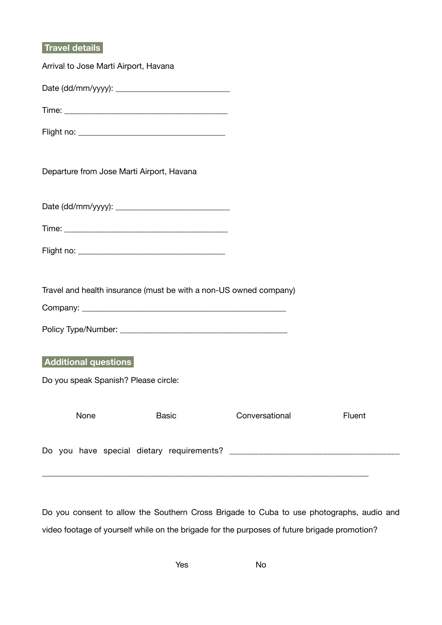## **Travel details**

| Arrival to Jose Marti Airport, Havana                             |                |        |
|-------------------------------------------------------------------|----------------|--------|
|                                                                   |                |        |
|                                                                   |                |        |
|                                                                   |                |        |
| Departure from Jose Marti Airport, Havana                         |                |        |
|                                                                   |                |        |
|                                                                   |                |        |
|                                                                   |                |        |
| Travel and health insurance (must be with a non-US owned company) |                |        |
|                                                                   |                |        |
| Additional questions                                              |                |        |
| Do you speak Spanish? Please circle:                              |                |        |
| None<br><b>Basic</b>                                              | Conversational | Fluent |
|                                                                   |                |        |

Do you consent to allow the Southern Cross Brigade to Cuba to use photographs, audio and video footage of yourself while on the brigade for the purposes of future brigade promotion?

\_\_\_\_\_\_\_\_\_\_\_\_\_\_\_\_\_\_\_\_\_\_\_\_\_\_\_\_\_\_\_\_\_\_\_\_\_\_\_\_\_\_\_\_\_\_\_\_\_\_\_\_\_\_\_\_\_\_\_\_\_\_\_\_\_\_\_\_\_\_\_\_\_\_\_\_\_\_\_\_

Yes No